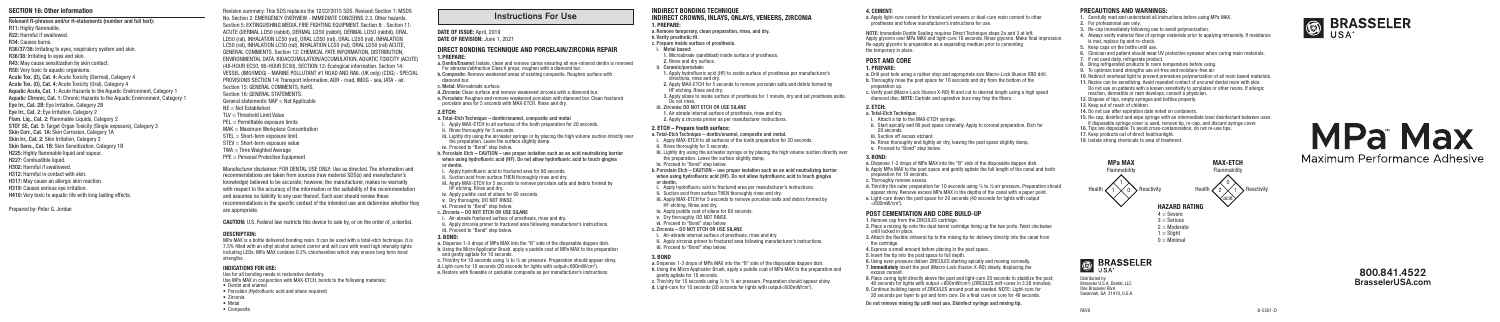- INDIRECT BONDING TECHNIQUE INDIRECT CROWNS, INLAYS, ONLAYS, VENEERS, ZIRCONIA 1. PREPARE:
- a. Remove temporary, clean preparation, rinse, and dry.
- b. Verify prosthetic fit. c. Prepare inside surface of prosthesis.
- i. Metal based:
- 1. Microabrade (sandblast) inside surface of prosthesis.
- 2. Rinse and dry surface.
- ii. Ceramic/porcelain:
- 1. Apply hydrofluoric acid (HF) to inside surface of prosthesis per manufacturer's directions, rinse and dry.
- 2. Apply MAX-ETCH for 5 seconds to remove porcelain salts and debris formed by HF etching. Rinse and dry.
- 3. Apply silane to inside surface of prosthesis for 1 minute, dry and set prosthesis aside.<br>Do not rinse.
- 
- 
- 2. Apply a zirconia primer as per manufacturer instructions.

#### iii. Zirconia: DO NOT ETCH OR USE SILANE

1. Air abrade internal surface of prosthesis, rinse and dry.

#### 2. ETCH – Prepare tooth surface:

- a. Total-Etch Technique dentin/enamel, composite and metal.
- i. Apply MAX-ETCH to all surfaces of the tooth preparation for 20 seconds.
- ii. Rinse thoroughly for 5 seconds.
- iii. Lightly dry using the air/water syringe or by placing the high volume suction directly over the preparation. Leave the surface slightly damp.
- iv. Proceed to "Bond" step below.
- b. Porcelain Etch CAUTION use proper isolation such as an acid neutralizing barrier when using hydrofluoric acid (HF). Do not allow hydrofluoric acid to touch gingiva or dentin.
- i. Apply hydrofluoric acid to fractured area per manufacturer's instructions.
- ii. Suction acid from surface THEN thoroughly rinse and dry.
- iii. Apply MAX-ETCH for 5 seconds to remove porcelain salts and debris formed by HF etching. Rinse and dry.
- iv. Apply puddle coat of silane for 60 seconds.
- v. Dry thoroughly. DO NOT RINSE.
- vi. Proceed to "Bond" step below.
- c. Zirconia DO NOT ETCH OR USE SILANE
- i. Air-abrade internal surface of prosthesis, rinse and dry.
- ii. Apply zirconia primer to fractured area following manufacturer's instructions. iii. Proceed to "Bond" step below.

iv. Rinse thoroughly and lightly air dry, leaving the post space slightly damp. v. Proceed to "Bond" step below.

- 
- d. Thin/dry the outer preparation for 10 seconds using ¼ to ½ air pressure. Preparation should appear shiny. Remove excess MPa MAX in the depths of the canal with a paper point. e. Light-cure down the post space for 20 seconds (40 seconds for lights with output  $<$ 600mW/cm<sup>2</sup>).

#### 3. BOND

- until locked in place. the cartridge.
- 6. Using even pressure deliver ZIRCULES starting apically and moving coronally. 7. Immediately insert the post (Macro-Lock Illusion X-RO) slowly, displacing the excess cement. 8. Place curing light directly above the post and light-cure 20 seconds to stabilize the post:

- a. Dispense 1-3 drops of MPa MAX into the "B" side of the disposable dappen dish. b. Using the Micro Applicator Brush, apply a puddle coat of MPa MAX to the preparation and gently agitate for 10 seconds.
- c. Thin/dry for 10 seconds using ¼ to ½ air pressure. Preparation should appear shiny. d. Light-cure for 10 seconds (20 seconds for lights with output<600mW/cm2 ).

4. CEMENT:

a. Apply light-cure cement for translucent veneers or dual-cure resin cement to other prostheses and follow manufacturer's instructions for use.

- 1. Remove can from the ZIRCULES cartridge.
- 2. Place a mixing tip onto the dual barrel cartridge lining up the two ports. Twist clockwise
- 3. Attach the flexible intraoral tip to the mixing tip for delivery directly into the canal from
- 4. Express a small amount before placing in the post space.
- 5. Insert the tip into the post space to full depth.
- 40 seconds for lights with output <600mW/cm<sup>2</sup>) (ZIRCULES self-cures in 3:30 minutes). 9. Continue building layers of ZIRCULES around post as needed. NOTE: Light-cure for 20 seconds per layer to gel and form core. Do a final cure on core for 40 seconds.

NOTE: Immediate Dentin Sealing requires Direct Technique steps 2a and 3 at left. Apply glycerin over MPa MAX and light-cure 10 seconds. Rinse glycerin. Make final impression. Re-apply glycerin to preparation as a separating medium prior to cementing the temporary in place.

POST AND CORE

#### 1. PREPARE:

- a. Drill post hole using a rubber stop and appropriate size Macro-Lock Illusion XRO drill. b. Thoroughly rinse the post space for 10 seconds and dry from the bottom of the preparation up.
- 
- 
- 
- c. Verify post (Macro-Lock Illusion X-RO) fit and cut to desired length using a high speed diamond disc. NOTE: Carbide and operative burs may fray the fibers.

## 2. ETCH:

- ii. Start apically and fill post space coronally. Apply to coronal preparation. Etch for 20 seconds.
- iii. Suction off excess etchant.

#### a. Total-Etch Technique:

i. Attach a tip to the MAX-ETCH syringe.

3. BOND:

- a. Dispense 1-3 drops of MPa MAX into the "B" side of the disposable dappen dish.
- b. Apply MPa MAX to the post space and gently agitate the full length of the canal and tooth
- c. Thoroughly remove excess.
- 
- preparation for 10 seconds.
- 

#### POST CEMENTATION AND CORE BUILD-UP

a. Dispense 1-3 drops of MPa MAX into the "B" side of the disposable dappen dish. b. Using the Micro Applicator Brush, apply a puddle coat of MPa MAX to the preparation and gently agitate for 10 seconds.

Do not remove mixing tip until next use. Disinfect syringe and mixing tip.

- -

## PRECAUTIONS AND WARNINGS:

- 1. Carefully read and understand all instructions before using MPa MAX.
- 2. For professional use only.
- 3. Re-cap immediately following use to avoid polymerization.
- 4. Always verify material flow of syringe materials prior to applying intraorally. If resistance is met, replace tip and re-check.
- 5. Keep caps on the bottle until use.
- 6. Clinician and patient should wear UV protective eyewear when curing resin materials.
- 7. If not used daily, refrigerate product.
- 8. Bring refrigerated products to room temperature before using.
- 9. To optimize bond strengths use oil-free and moisture-free air.
- 10. Redirect overhead light to prevent premature polymerization of all resin based materials.
- 11. Resins can be sensitizing. Avoid repeated contact of uncured dental resin with skin. Do not use on patients with a known sensitivity to acrylates or other resins. If allergic reaction, dermatitis or rash develops, consult a physician.
- 12. Dispose of tips, empty syringes and bottles properly.
- 13. Keep out of reach of children.
- 14. Do not use after expiration date noted on containers.
- 15. Re-cap, disinfect and wipe syringe with an intermediate level disinfectant between uses. If disposable syringe cover is used, remove tip, re-cap, and discard syringe cover.
- 16. Tips are disposable. To avoid cross-contamination, do not re-use tips.
- 17. Keep products out of direct heat/sunlight.
- 18. Isolate strong chemicals to area of treatment.

#### DIRECT BONDING TECHNIQUE AND PORCELAIN/ZIRCONIA REPAIR 1.PREPARE:

- a. Dentin/Enamel: Isolate, clean and remove caries ensuring all non-mineral dentin is removed For abrasion/abfraction Class V preps, roughen with a diamond bur.
- b. Composite: Remove weakened areas of existing composite. Roughen surface with diamond bur.
- c. Metal: Microabrade surface.
- d. Zirconia: Clean surface and remove weakened zirconia with a diamond bur. e. Porcelain: Roughen and remove weakened porcelain with diamond bur. Clean fractured
- porcelain area for 5 seconds with MAX-ETCH. Rinse and dry.

#### 2.ETCH:

- a. Total-Etch Technique dentin/enamel, composite and metal
- i. Apply MAX-ETCH to all surfaces of the tooth preparation for 20 seconds.
- ii. Rinse thoroughly for 5 seconds.
- iii. Lightly dry using the air/water syringe or by placing the high volume suction directly over the preparation. Leave the surface slightly damp.
- iv. Proceed to "Bond" step below.
- b. Porcelain Etch CAUTION use proper isolation such as an acid neutralizing barrier when using hydrofluoric acid (HF). Do not allow hydrofluoric acid to touch gingiva or dentin.
- i. Apply hydrofluoric acid to fractured area for 90 seconds.
- ii. Suction acid from surface THEN thoroughly rinse and dry.
- iii. Apply MAX-ETCH for 5 seconds to remove porcelain salts and debris formed by HF etching. Rinse and dry.
- iv. Apply puddle coat of silane for 60 seconds.
- v. Dry thoroughly. DO NOT RINSE
- vi. Proceed to "Bond" step below.
- c. Zirconia DO NOT ETCH OR USE SILANE
- i. Air-abrade fractured surface of prosthesis, rinse and dry.
- ii. Apply zirconia primer to fractured area following manufacturer's instructions. iii. Proceed to "Bond" step below.

#### 3. BOND:

c. Thin/dry for 10 seconds using ¼ to ½ air pressure. Preparation should appear shiny. d. Light-cure for 10 seconds (20 seconds for lights with output<600mW/cm2 ). e. Restore with flowable or packable composite as per manufacturer's instructions.

#### DESCRIPTION:

MPa MAX is a bottle delivered bonding resin. It can be used with a total-etch technique. It is 7.5% filled with an ethyl alcohol solvent carrier and will cure with most high intensity lights including LEDs. MPa MAX contains 0.2% chlorhexidine which may ensure long term bond strengths.

#### INDICATIONS FOR USE:

Use for all bonding needs in restorative dentistry. Use MPa MAX in conjunction with MAX-ETCH, bonds to the following materials: • Dentin and enamel • Porcelain (Hydrofluoric acid and silane required) • Zirconia • Metal • Composite





#### SECTION 16: Other information

Relevant R-phrases and/or H-statements (number and full text): R11: Highly flammable. R22: Harmful if swallowed. R34: Causes burns. R36/37/38: Irritating to eyes, respiratory system and skin. R36/38: Irritating to eyes and skin. R43: May cause sensitization by skin contact. R50: Very toxic to aquatic organisms. Acute Tox. (D), Cat. 4: Acute Toxicity (Dermal), Category 4 Acute Tox. (O), Cat. 4: Acute Toxicity (Oral), Category 4 Aquatic Acute, Cat. 1: Acute Hazards to the Aquatic Environment, Category 1 Aquatic Chronic, Cat. 1: Chronic Hazards to the Aquatic Environment, Category 1 Eye Irr., Cat. 2B: Eye Irritation, Category 2B Eye Irr., Cat. 2: Eye Irritation, Category 2 Flam. Liq., Cat. 2: Flammable Liquids, Category 2 STOT SE, Cat. 3: Target Organ Toxicity (Single exposure), Category 3 Skin Corr., Cat. 1A: Skin Corrosion, Category 1A Skin Irr., Cat. 2: Skin Irritation, Category 2 Skin Sens., Cat. 1B: Skin Sensitization, Category 1B H225: Highly flammable liquid and vapour. H227: Combustible liquid. H302: Harmful if swallowed. H312: Harmful in contact with skin. H317: May cause an allergic skin reaction.

H319: Causes serious eye irritation. H410: Very toxic to aquatic life with long lasting effects.

Prepared by: Peter G. Jordan

Revision summary: This SDS replaces the 12/22/2015 SDS. Revised: Section 1: MSDS No. Section 2: EMERGENCY OVERVIEW - IMMEDIATE CONCERNS 2.3. Other hazards. Section 5: EXTINGUISHING MEDIA, FIRE FIGHTING FOURMENT, Section 8: . Section 11: ACUTE (DERMAL LD50 (rabbit), DERMAL LD50 (rabbit), DERMAL LD50 (rabbit), ORAL LD50 (rat), INHALATION LC50 (rat), ORAL LD50 (rat), ORAL LD50 (rat), INHALATION LC50 (rat), INHALATION LC50 (rat), INHALATION LC50 (rat), ORAL LD50 (rat) ACUTE, GENERAL COMMENTS. Section 12: CHEMICAL FATE INFORMATION, DISTRIBUTION, ENVIRONMENTAL DATA, BIOACCUMULATION/ACCUMULATION, AQUATIC TOXICITY (ACUTE) (48-HOUR EC50, 96-HOUR EC50), SECTION 12: Ecological information. Section 14: VESSEL (IMO/IMDG) - MARINE POLLUTANT #1 ROAD AND RAIL (UK only) (CDG) - SPECIAL PROVISIONS SECTION 14: Transport information, ADR - road, IMDG - sea, IATA - air. Section 15: GENERAL COMMENTS, RoHS. Section 16: GENERAL STATEMENTS. General statements:  $NAP = N$ ot Applicable NE = Not Established  $TIV = Threshold$  Limit Value PEL = Permittable exposure limits MAK = Maximum Workplace Concentration STEL = Short-term exposure limit STEV = Short-term exposure value TWA = Time Weighted Average PPF = Personal Protective Equipment Manufacturer disclaimer: FOR DENTAL USE ONLY: Use as directed. The information and recommendations are taken from sources (raw material SDS(s) and manufacturer's

knowledge) believed to be accurate; however, the manufacturer, makes no warranty with respect to the accuracy of the information or the suitability of the recommendation and assumes no liability to any user thereof. Each user should review these recommendations in the specific context of the intended use and determine whether they are appropriate.

CAUTION: U.S. Federal law restricts this device to sale by, or on the order of, a dentist.

#### Instructions For Use

#### DATE OF ISSUE: April, 2019 DATE OF REVISION: June 1, 2021

## 800.841.4522 BrasselerUSA.com

Distributed by Brasseler U.S.A. Dental, LLC One Brasseler Blvd Savannah, GA 31419, U.S.A.



# **MPa Max**

# Maximum Performance Adhesive